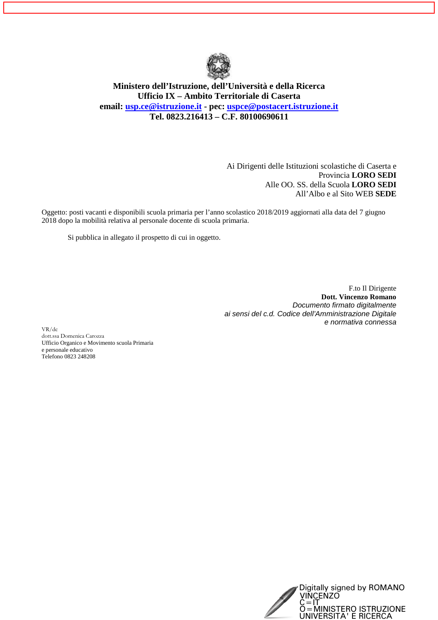

**Ministero dell'Istruzione, dell'Università e della Ricerca Ufficio IX – Ambito Territoriale di Caserta email: usp.ce@istruzione.it - pec: uspce@postacert.istruzione.it Tel. 0823.216413 – C.F. 80100690611** 

> Ai Dirigenti delle Istituzioni scolastiche di Caserta e Provincia **LORO SEDI**  Alle OO. SS. della Scuola **LORO SEDI**  All'Albo e al Sito WEB **SEDE**

Oggetto: posti vacanti e disponibili scuola primaria per l'anno scolastico 2018/2019 aggiornati alla data del 7 giugno 2018 dopo la mobilità relativa al personale docente di scuola primaria.

Si pubblica in allegato il prospetto di cui in oggetto.

F.to Il Dirigente **Dott. Vincenzo Romano**  Documento firmato digitalmente ai sensi del c.d. Codice dell'Amministrazione Digitale e normativa connessa

VR/dc dott.ssa Domenica Carozza Ufficio Organico e Movimento scuola Primaria e personale educativo Telefono 0823 248208

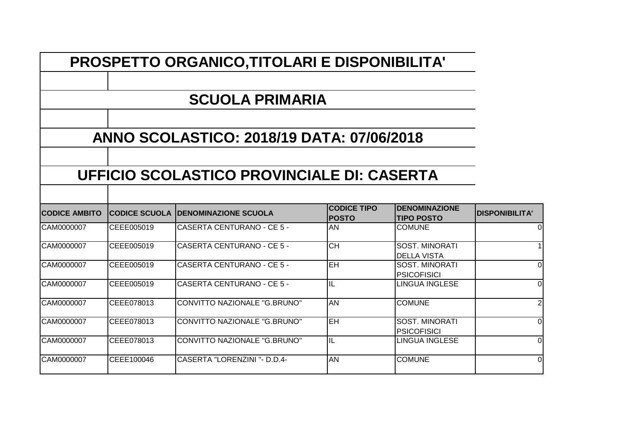|                      | <b>PROSPETTO ORGANICO, TITOLARI E DISPONIBILITA'</b> |                                                  |                                    |                                             |                       |  |
|----------------------|------------------------------------------------------|--------------------------------------------------|------------------------------------|---------------------------------------------|-----------------------|--|
|                      |                                                      | <b>SCUOLA PRIMARIA</b>                           |                                    |                                             |                       |  |
|                      |                                                      | <b>ANNO SCOLASTICO: 2018/19 DATA: 07/06/2018</b> |                                    |                                             |                       |  |
|                      |                                                      | UFFICIO SCOLASTICO PROVINCIALE DI: CASERTA       |                                    |                                             |                       |  |
| <b>CODICE AMBITO</b> |                                                      | <b>CODICE SCUOLA IDENOMINAZIONE SCUOLA</b>       | <b>CODICE TIPO</b><br><b>POSTO</b> | <b>DENOMINAZIONE</b><br><b>TIPO POSTO</b>   | <b>DISPONIBILITA'</b> |  |
| CAM0000007           | CEEE005019                                           | CASERTA CENTURANO - CE 5 -                       | AN                                 | <b>COMUNE</b>                               | $\overline{0}$        |  |
| CAM0000007           | CEEE005019                                           | <b>CASERTA CENTURANO - CE 5 -</b>                | $\overline{CH}$                    | <b>SOST. MINORATI</b><br><b>DELLA VISTA</b> | $\mathbf{1}$          |  |
| CAM0000007           | CEEE005019                                           | CASERTA CENTURANO - CE 5 -                       | <b>EH</b>                          | <b>SOST. MINORATI</b><br><b>PSICOFISICI</b> | $\overline{0}$        |  |
| CAM0000007           | CEEE005019                                           | CASERTA CENTURANO - CE 5 -                       | $\overline{\mathsf{IL}}$           | LINGUA INGLESE                              | $\overline{0}$        |  |
| CAM0000007           | CEEE078013                                           | CONVITTO NAZIONALE "G.BRUNO"                     | AN                                 | <b>COMUNE</b>                               | $\overline{2}$        |  |
| CAM0000007           | CEEE078013                                           | <b>CONVITTO NAZIONALE "G.BRUNO"</b>              | EH                                 | <b>SOST. MINORATI</b><br><b>PSICOFISICI</b> | $\overline{0}$        |  |
| CAM0000007           | ICEEE078013                                          | CONVITTO NAZIONALE "G.BRUNO"                     | IL                                 | LINGUA INGLESE                              | $\overline{0}$        |  |
| CAM0000007           | CEEE100046                                           | CASERTA "LORENZINI "- D.D.4-                     | AN                                 | <b>COMUNE</b>                               | $\overline{0}$        |  |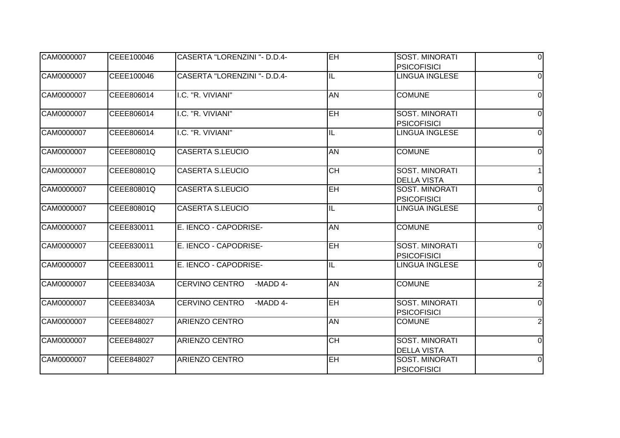| CAM0000007 | CEEE100046 | CASERTA "LORENZINI "- D.D.4-      | EH              | <b>SOST. MINORATI</b>                       | $\Omega$       |
|------------|------------|-----------------------------------|-----------------|---------------------------------------------|----------------|
|            |            |                                   |                 | <b>PSICOFISICI</b>                          |                |
| CAM0000007 | CEEE100046 | CASERTA "LORENZINI "- D.D.4-      | IL              | LINGUA INGLESE                              | $\Omega$       |
| CAM0000007 | CEEE806014 | I.C. "R. VIVIANI"                 | AN              | <b>COMUNE</b>                               | $\Omega$       |
| CAM0000007 | CEEE806014 | I.C. "R. VIVIANI"                 | <b>EH</b>       | <b>SOST. MINORATI</b><br><b>PSICOFISICI</b> | $\Omega$       |
| CAM0000007 | CEEE806014 | I.C. "R. VIVIANI"                 | IL              | <b>LINGUA INGLESE</b>                       | $\Omega$       |
| CAM0000007 | CEEE80801Q | <b>CASERTA S.LEUCIO</b>           | <b>AN</b>       | <b>COMUNE</b>                               | $\Omega$       |
| CAM0000007 | CEEE80801Q | <b>CASERTA S.LEUCIO</b>           | $\overline{CH}$ | <b>SOST. MINORATI</b><br><b>DELLA VISTA</b> |                |
| CAM0000007 | CEEE80801Q | <b>CASERTA S.LEUCIO</b>           | $E$ H           | <b>SOST. MINORATI</b><br><b>PSICOFISICI</b> | $\overline{0}$ |
| CAM0000007 | CEEE80801Q | <b>CASERTA S.LEUCIO</b>           | IL              | <b>LINGUA INGLESE</b>                       | $\Omega$       |
| CAM0000007 | CEEE830011 | E. IENCO - CAPODRISE-             | <b>AN</b>       | <b>COMUNE</b>                               | $\Omega$       |
| CAM0000007 | CEEE830011 | E. IENCO - CAPODRISE-             | <b>EH</b>       | <b>SOST. MINORATI</b><br><b>PSICOFISICI</b> | $\Omega$       |
| CAM0000007 | CEEE830011 | E. IENCO - CAPODRISE-             | IL              | <b>LINGUA INGLESE</b>                       | $\Omega$       |
| CAM0000007 | CEEE83403A | <b>CERVINO CENTRO</b><br>-MADD 4- | AN              | <b>COMUNE</b>                               | $\overline{2}$ |
| CAM0000007 | CEEE83403A | <b>CERVINO CENTRO</b><br>-MADD 4- | EH              | SOST. MINORATI<br><b>PSICOFISICI</b>        | $\Omega$       |
| CAM0000007 | CEEE848027 | <b>ARIENZO CENTRO</b>             | AN              | <b>COMUNE</b>                               | 2              |
| CAM0000007 | CEEE848027 | <b>ARIENZO CENTRO</b>             | <b>CH</b>       | <b>SOST. MINORATI</b><br><b>DELLA VISTA</b> | $\Omega$       |
| CAM0000007 | CEEE848027 | <b>ARIENZO CENTRO</b>             | EH              | <b>SOST. MINORATI</b><br><b>PSICOFISICI</b> | $\Omega$       |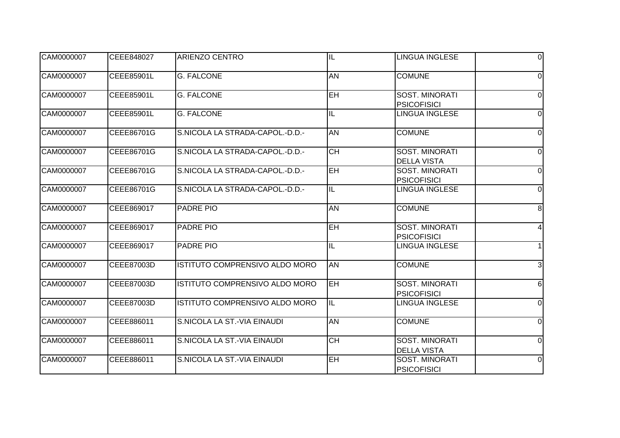| CAM0000007 | CEEE848027 | ARIENZO CENTRO                  | $\overline{\mathsf{I}}$  | <b>LINGUA INGLESE</b>                       | $\Omega$       |
|------------|------------|---------------------------------|--------------------------|---------------------------------------------|----------------|
| CAM0000007 | CEEE85901L | <b>G. FALCONE</b>               | AN                       | <b>COMUNE</b>                               | $\Omega$       |
| CAM0000007 | CEEE85901L | <b>G. FALCONE</b>               | EH                       | <b>SOST. MINORATI</b><br><b>PSICOFISICI</b> | $\Omega$       |
| CAM0000007 | CEEE85901L | <b>G. FALCONE</b>               | IL                       | <b>LINGUA INGLESE</b>                       | 0              |
| CAM0000007 | CEEE86701G | S.NICOLA LA STRADA-CAPOL.-D.D.- | <b>AN</b>                | <b>COMUNE</b>                               | $\Omega$       |
| CAM0000007 | CEEE86701G | S.NICOLA LA STRADA-CAPOL.-D.D.- | <b>CH</b>                | <b>SOST. MINORATI</b><br><b>DELLA VISTA</b> | $\Omega$       |
| CAM0000007 | CEEE86701G | S.NICOLA LA STRADA-CAPOL.-D.D.- | EH                       | SOST. MINORATI<br><b>PSICOFISICI</b>        | $\overline{0}$ |
| CAM0000007 | CEEE86701G | S.NICOLA LA STRADA-CAPOL.-D.D.- | $\overline{\mathsf{IL}}$ | <b>LINGUA INGLESE</b>                       | $\mathbf 0$    |
| CAM0000007 | CEEE869017 | PADRE PIO                       | <b>AN</b>                | <b>COMUNE</b>                               | 8              |
| CAM0000007 | CEEE869017 | <b>PADRE PIO</b>                | EH                       | SOST. MINORATI<br><b>PSICOFISICI</b>        |                |
| CAM0000007 | CEEE869017 | <b>PADRE PIO</b>                | $\overline{\mathsf{I}}$  | <b>LINGUA INGLESE</b>                       |                |
| CAM0000007 | CEEE87003D | ISTITUTO COMPRENSIVO ALDO MORO  | <b>AN</b>                | <b>COMUNE</b>                               | $\overline{3}$ |
| CAM0000007 | CEEE87003D | ISTITUTO COMPRENSIVO ALDO MORO  | EH                       | <b>SOST, MINORATI</b><br><b>PSICOFISICI</b> | 6              |
| CAM0000007 | CEEE87003D | ISTITUTO COMPRENSIVO ALDO MORO  | IL                       | LINGUA INGLESE                              | $\Omega$       |
| CAM0000007 | CEEE886011 | S.NICOLA LA ST.-VIA EINAUDI     | <b>AN</b>                | <b>COMUNE</b>                               | 0              |
| CAM0000007 | CEEE886011 | S. NICOLA LA ST.-VIA EINAUDI    | $\overline{CH}$          | <b>SOST. MINORATI</b><br><b>DELLA VISTA</b> | $\Omega$       |
| CAM0000007 | CEEE886011 | S.NICOLA LA ST.-VIA EINAUDI     | EH                       | <b>SOST. MINORATI</b><br><b>PSICOFISICI</b> | $\Omega$       |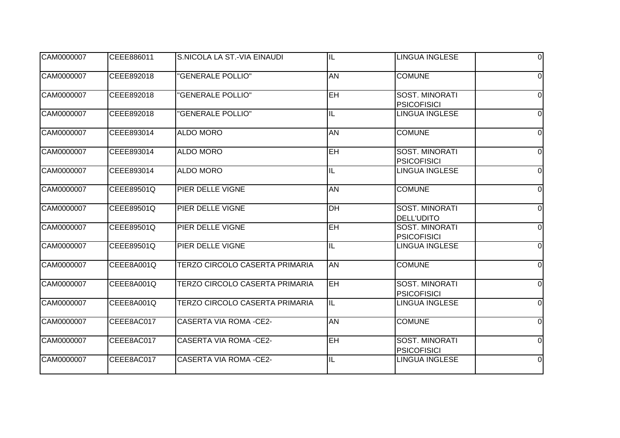| CAM0000007 | CEEE886011 | S. NICOLA LA ST.-VIA EINAUDI   | $\overline{\mathsf{I}}$ | <b>LINGUA INGLESE</b>                       | $\Omega$       |
|------------|------------|--------------------------------|-------------------------|---------------------------------------------|----------------|
| CAM0000007 | CEEE892018 | "GENERALE POLLIO"              | <b>AN</b>               | <b>COMUNE</b>                               | $\Omega$       |
| CAM0000007 | CEEE892018 | <b>'GENERALE POLLIO"</b>       | EH                      | <b>SOST. MINORATI</b><br><b>PSICOFISICI</b> | $\Omega$       |
| CAM0000007 | CEEE892018 | "GENERALE POLLIO"              | IL                      | LINGUA INGLESE                              | $\Omega$       |
| CAM0000007 | CEEE893014 | <b>ALDO MORO</b>               | <b>AN</b>               | <b>COMUNE</b>                               | $\Omega$       |
| CAM0000007 | CEEE893014 | <b>ALDO MORO</b>               | <b>EH</b>               | <b>SOST. MINORATI</b><br><b>PSICOFISICI</b> | $\Omega$       |
| CAM0000007 | CEEE893014 | <b>ALDO MORO</b>               | IL                      | LINGUA INGLESE                              | $\overline{0}$ |
| CAM0000007 | CEEE89501Q | PIER DELLE VIGNE               | <b>AN</b>               | <b>COMUNE</b>                               | $\Omega$       |
| CAM0000007 | CEEE89501Q | PIER DELLE VIGNE               | <b>DH</b>               | <b>SOST. MINORATI</b><br><b>DELL'UDITO</b>  | 0              |
| CAM0000007 | CEEE89501Q | PIER DELLE VIGNE               | EH                      | <b>SOST. MINORATI</b><br><b>PSICOFISICI</b> | $\Omega$       |
| CAM0000007 | CEEE89501Q | PIER DELLE VIGNE               | $\overline{\mathsf{I}}$ | <b>LINGUA INGLESE</b>                       | $\Omega$       |
| CAM0000007 | CEEE8A001Q | TERZO CIRCOLO CASERTA PRIMARIA | <b>AN</b>               | <b>COMUNE</b>                               | $\overline{0}$ |
| CAM0000007 | CEEE8A001Q | TERZO CIRCOLO CASERTA PRIMARIA | EH                      | <b>SOST. MINORATI</b><br><b>PSICOFISICI</b> | $\Omega$       |
| CAM0000007 | CEEE8A001Q | TERZO CIRCOLO CASERTA PRIMARIA | IL                      | LINGUA INGLESE                              | $\Omega$       |
| CAM0000007 | CEEE8AC017 | <b>CASERTA VIA ROMA -CE2-</b>  | <b>AN</b>               | <b>COMUNE</b>                               | $\Omega$       |
| CAM0000007 | CEEE8AC017 | <b>CASERTA VIA ROMA -CE2-</b>  | <b>EH</b>               | <b>SOST. MINORATI</b><br><b>PSICOFISICI</b> | $\Omega$       |
| CAM0000007 | CEEE8AC017 | <b>CASERTA VIA ROMA -CE2-</b>  | IL                      | LINGUA INGLESE                              | $\overline{0}$ |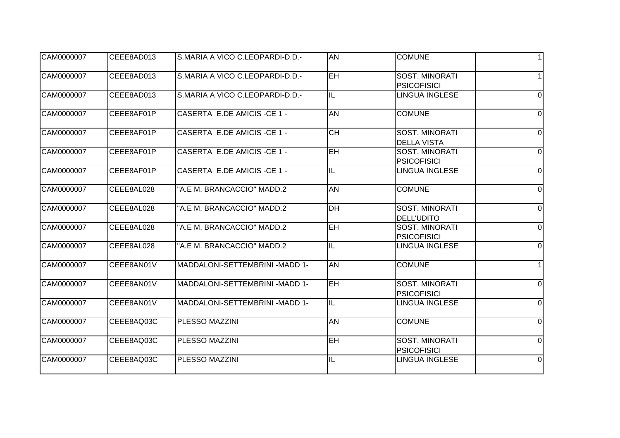| CAM0000007 | CEEE8AD013 | S.MARIA A VICO C.LEOPARDI-D.D.- | <b>AN</b>       | <b>COMUNE</b>                               |          |
|------------|------------|---------------------------------|-----------------|---------------------------------------------|----------|
| CAM0000007 | CEEE8AD013 | S.MARIA A VICO C.LEOPARDI-D.D.- | EH              | SOST. MINORATI<br><b>PSICOFISICI</b>        |          |
| CAM0000007 | CEEE8AD013 | S.MARIA A VICO C.LEOPARDI-D.D.- | IL              | <b>LINGUA INGLESE</b>                       | $\Omega$ |
| CAM0000007 | CEEE8AF01P | CASERTA E.DE AMICIS - CE 1 -    | <b>AN</b>       | <b>COMUNE</b>                               | $\Omega$ |
| CAM0000007 | CEEE8AF01P | CASERTA E.DE AMICIS - CE 1 -    | $\overline{CH}$ | <b>SOST. MINORATI</b><br><b>DELLA VISTA</b> | $\Omega$ |
| CAM0000007 | CEEE8AF01P | CASERTA E.DE AMICIS - CE 1 -    | <b>EH</b>       | <b>SOST. MINORATI</b><br><b>PSICOFISICI</b> | $\Omega$ |
| CAM0000007 | CEEE8AF01P | CASERTA E.DE AMICIS - CE 1 -    | IL              | <b>LINGUA INGLESE</b>                       | $\Omega$ |
| CAM0000007 | CEEE8AL028 | "A.E M. BRANCACCIO" MADD.2      | <b>AN</b>       | <b>COMUNE</b>                               | $\Omega$ |
| CAM0000007 | CEEE8AL028 | "A.E M. BRANCACCIO" MADD.2      | DH              | <b>SOST. MINORATI</b><br><b>DELL'UDITO</b>  | 0        |
| CAM0000007 | CEEE8AL028 | "A.E M. BRANCACCIO" MADD.2      | $\overline{EH}$ | <b>SOST. MINORATI</b><br><b>PSICOFISICI</b> | $\Omega$ |
| CAM0000007 | CEEE8AL028 | "A.E M. BRANCACCIO" MADD.2      | IL              | <b>LINGUA INGLESE</b>                       | $\Omega$ |
| CAM0000007 | CEEE8AN01V | MADDALONI-SETTEMBRINI - MADD 1- | <b>AN</b>       | <b>COMUNE</b>                               |          |
| CAM0000007 | CEEE8AN01V | MADDALONI-SETTEMBRINI - MADD 1- | EH              | <b>SOST. MINORATI</b><br><b>PSICOFISICI</b> | $\Omega$ |
| CAM0000007 | CEEE8AN01V | MADDALONI-SETTEMBRINI - MADD 1- | IL              | LINGUA INGLESE                              | $\Omega$ |
| CAM0000007 | CEEE8AQ03C | PLESSO MAZZINI                  | <b>AN</b>       | <b>COMUNE</b>                               | $\Omega$ |
| CAM0000007 | CEEE8AQ03C | PLESSO MAZZINI                  | <b>EH</b>       | <b>SOST. MINORATI</b><br><b>PSICOFISICI</b> | $\Omega$ |
| CAM0000007 | CEEE8AQ03C | PLESSO MAZZINI                  | IL              | LINGUA INGLESE                              | $\Omega$ |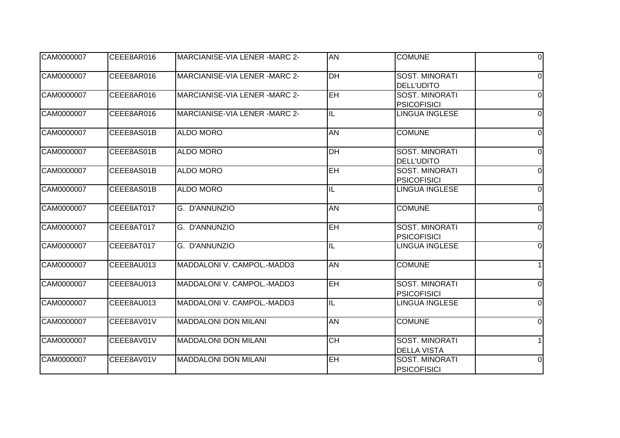| CAM0000007 | CEEE8AR016 | MARCIANISE-VIA LENER -MARC 2-  | AN              | <b>COMUNE</b>                               | $\Omega$       |
|------------|------------|--------------------------------|-----------------|---------------------------------------------|----------------|
| CAM0000007 | CEEE8AR016 | MARCIANISE-VIA LENER - MARC 2- | D <sub>H</sub>  | SOST. MINORATI<br><b>DELL'UDITO</b>         | $\Omega$       |
| CAM0000007 | CEEE8AR016 | MARCIANISE-VIA LENER -MARC 2-  | <b>EH</b>       | <b>SOST. MINORATI</b><br><b>PSICOFISICI</b> | $\Omega$       |
| CAM0000007 | CEEE8AR016 | MARCIANISE-VIA LENER -MARC 2-  | IL              | <b>LINGUA INGLESE</b>                       | $\Omega$       |
| CAM0000007 | CEEE8AS01B | <b>ALDO MORO</b>               | <b>AN</b>       | <b>COMUNE</b>                               | $\Omega$       |
| CAM0000007 | CEEE8AS01B | <b>ALDO MORO</b>               | <b>DH</b>       | <b>SOST. MINORATI</b><br><b>DELL'UDITO</b>  | $\Omega$       |
| CAM0000007 | CEEE8AS01B | <b>ALDO MORO</b>               | EH              | SOST. MINORATI<br><b>PSICOFISICI</b>        | $\overline{0}$ |
| CAM0000007 | CEEE8AS01B | <b>ALDO MORO</b>               | IL              | <b>LINGUA INGLESE</b>                       | $\Omega$       |
| CAM0000007 | CEEE8AT017 | G. D'ANNUNZIO                  | <b>AN</b>       | <b>COMUNE</b>                               | $\Omega$       |
| CAM0000007 | CEEE8AT017 | G. D'ANNUNZIO                  | <b>EH</b>       | <b>SOST. MINORATI</b><br><b>PSICOFISICI</b> | $\Omega$       |
| CAM0000007 | CEEE8AT017 | G. D'ANNUNZIO                  | IL              | <b>LINGUA INGLESE</b>                       | $\Omega$       |
| CAM0000007 | CEEE8AU013 | MADDALONI V. CAMPOL.-MADD3     | <b>AN</b>       | <b>COMUNE</b>                               |                |
| CAM0000007 | CEEE8AU013 | MADDALONI V. CAMPOL.-MADD3     | EH              | <b>SOST. MINORATI</b><br><b>PSICOFISICI</b> | $\Omega$       |
| CAM0000007 | CEEE8AU013 | MADDALONI V. CAMPOL.-MADD3     | IL              | <b>LINGUA INGLESE</b>                       | $\Omega$       |
| CAM0000007 | CEEE8AV01V | <b>MADDALONI DON MILANI</b>    | <b>AN</b>       | <b>COMUNE</b>                               | 0              |
| CAM0000007 | CEEE8AV01V | <b>MADDALONI DON MILANI</b>    | $\overline{CH}$ | SOST. MINORATI<br><b>DELLA VISTA</b>        |                |
| CAM0000007 | CEEE8AV01V | <b>MADDALONI DON MILANI</b>    | $\overline{EH}$ | <b>SOST. MINORATI</b><br><b>PSICOFISICI</b> | $\overline{0}$ |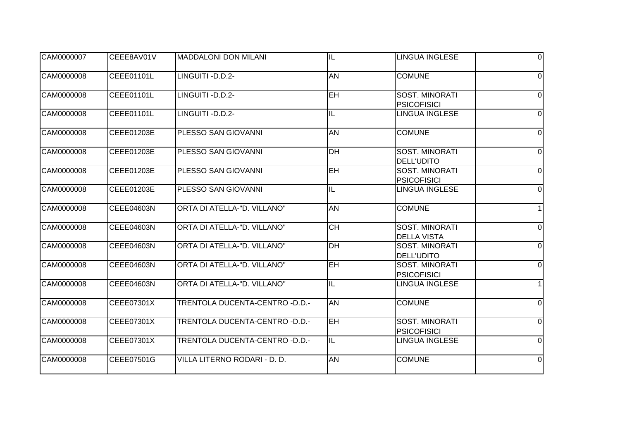| CAM0000007 | CEEE8AV01V        | <b>MADDALONI DON MILANI</b>     | $\overline{\mathsf{I}}$ | LINGUA INGLESE                              | $\Omega$       |
|------------|-------------------|---------------------------------|-------------------------|---------------------------------------------|----------------|
| CAM0000008 | CEEE01101L        | LINGUITI-D.D.2-                 | <b>AN</b>               | <b>COMUNE</b>                               | $\Omega$       |
| CAM0000008 | CEEE01101L        | LINGUITI - D.D.2-               | $E$ H                   | <b>SOST. MINORATI</b><br><b>PSICOFISICI</b> | $\Omega$       |
| CAM0000008 | CEEE01101L        | LINGUITI - D.D.2-               | IL                      | <b>LINGUA INGLESE</b>                       | $\Omega$       |
| CAM0000008 | CEEE01203E        | PLESSO SAN GIOVANNI             | <b>AN</b>               | <b>COMUNE</b>                               | $\Omega$       |
| CAM0000008 | CEEE01203E        | PLESSO SAN GIOVANNI             | DH                      | <b>SOST. MINORATI</b><br><b>DELL'UDITO</b>  | $\Omega$       |
| CAM0000008 | CEEE01203E        | PLESSO SAN GIOVANNI             | $E$ H                   | <b>SOST. MINORATI</b><br><b>PSICOFISICI</b> | $\Omega$       |
| CAM0000008 | CEEE01203E        | PLESSO SAN GIOVANNI             | IL                      | <b>LINGUA INGLESE</b>                       | $\Omega$       |
| CAM0000008 | <b>CEEE04603N</b> | ORTA DI ATELLA-"D. VILLANO"     | <b>AN</b>               | <b>COMUNE</b>                               |                |
| CAM0000008 | CEEE04603N        | ORTA DI ATELLA-"D. VILLANO"     | <b>CH</b>               | SOST. MINORATI<br><b>DELLA VISTA</b>        | $\Omega$       |
| CAM0000008 | CEEE04603N        | ORTA DI ATELLA-"D. VILLANO"     | $\overline{DH}$         | <b>SOST. MINORATI</b><br><b>DELL'UDITO</b>  | $\Omega$       |
| CAM0000008 | CEEE04603N        | ORTA DI ATELLA-"D. VILLANO"     | <b>EH</b>               | SOST. MINORATI<br><b>PSICOFISICI</b>        | $\Omega$       |
| CAM0000008 | CEEE04603N        | ORTA DI ATELLA-"D. VILLANO"     | $\overline{\mathsf{I}}$ | <b>LINGUA INGLESE</b>                       |                |
| CAM0000008 | CEEE07301X        | TRENTOLA DUCENTA-CENTRO - D.D.- | <b>AN</b>               | <b>COMUNE</b>                               | $\Omega$       |
| CAM0000008 | CEEE07301X        | TRENTOLA DUCENTA-CENTRO -D.D.-  | <b>EH</b>               | <b>SOST. MINORATI</b><br><b>PSICOFISICI</b> | $\Omega$       |
| CAM0000008 | CEEE07301X        | TRENTOLA DUCENTA-CENTRO - D.D.- | IL                      | <b>LINGUA INGLESE</b>                       | $\Omega$       |
| CAM0000008 | CEEE07501G        | VILLA LITERNO RODARI - D. D.    | <b>AN</b>               | <b>COMUNE</b>                               | $\overline{0}$ |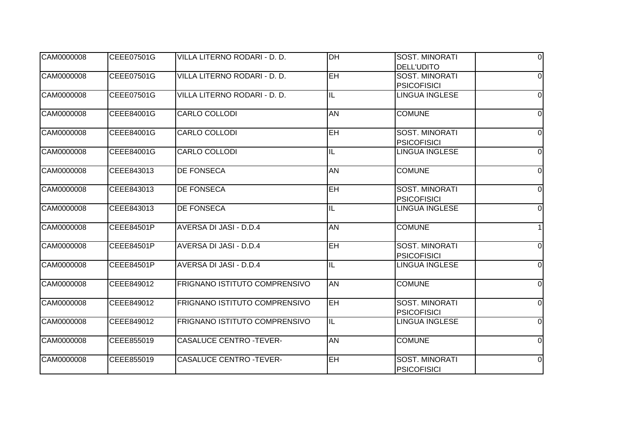| CAM0000008 | CEEE07501G | VILLA LITERNO RODARI - D. D.   | <b>DH</b>                | <b>SOST. MINORATI</b>                       | $\Omega$       |
|------------|------------|--------------------------------|--------------------------|---------------------------------------------|----------------|
|            |            |                                |                          | <b>DELL'UDITO</b>                           |                |
| CAM0000008 | CEEE07501G | VILLA LITERNO RODARI - D. D.   | EH                       | <b>SOST. MINORATI</b>                       | $\Omega$       |
|            |            |                                |                          | <b>PSICOFISICI</b>                          |                |
| CAM0000008 | CEEE07501G | VILLA LITERNO RODARI - D. D.   | IL                       | <b>LINGUA INGLESE</b>                       | $\Omega$       |
| CAM0000008 | CEEE84001G | <b>CARLO COLLODI</b>           | <b>AN</b>                | <b>COMUNE</b>                               | $\Omega$       |
| CAM0000008 | CEEE84001G | <b>CARLO COLLODI</b>           | $E$ H                    | <b>SOST. MINORATI</b>                       | $\Omega$       |
| CAM0000008 | CEEE84001G | CARLO COLLODI                  | IL                       | <b>PSICOFISICI</b><br><b>LINGUA INGLESE</b> | $\Omega$       |
|            |            |                                |                          |                                             |                |
| CAM0000008 | CEEE843013 | <b>DE FONSECA</b>              | <b>AN</b>                | <b>COMUNE</b>                               | $\Omega$       |
| CAM0000008 | CEEE843013 | <b>DE FONSECA</b>              | <b>EH</b>                | <b>SOST. MINORATI</b>                       | $\Omega$       |
|            |            |                                |                          | <b>PSICOFISICI</b>                          |                |
| CAM0000008 | CEEE843013 | <b>DE FONSECA</b>              | IL                       | <b>LINGUA INGLESE</b>                       | 0              |
| CAM0000008 | CEEE84501P | AVERSA DI JASI - D.D.4         | AN                       | <b>COMUNE</b>                               |                |
| CAM0000008 | CEEE84501P | AVERSA DI JASI - D.D.4         | EH                       | <b>SOST. MINORATI</b>                       | $\Omega$       |
|            |            |                                |                          | <b>PSICOFISICI</b>                          |                |
| CAM0000008 | CEEE84501P | AVERSA DI JASI - D.D.4         | IL                       | <b>LINGUA INGLESE</b>                       | $\Omega$       |
| CAM0000008 | CEEE849012 | FRIGNANO ISTITUTO COMPRENSIVO  | <b>AN</b>                | <b>COMUNE</b>                               | $\mathbf 0$    |
| CAM0000008 | CEEE849012 | FRIGNANO ISTITUTO COMPRENSIVO  | EH <sub></sub>           | SOST. MINORATI<br><b>PSICOFISICI</b>        | $\Omega$       |
| CAM0000008 | CEEE849012 | FRIGNANO ISTITUTO COMPRENSIVO  | $\overline{\mathsf{IL}}$ | <b>LINGUA INGLESE</b>                       | $\Omega$       |
| CAM0000008 | CEEE855019 | <b>CASALUCE CENTRO -TEVER-</b> | <b>AN</b>                | <b>COMUNE</b>                               | $\Omega$       |
|            |            |                                |                          |                                             |                |
| CAM0000008 | CEEE855019 | <b>CASALUCE CENTRO -TEVER-</b> | EH                       | <b>SOST. MINORATI</b>                       | $\overline{0}$ |
|            |            |                                |                          | <b>PSICOFISICI</b>                          |                |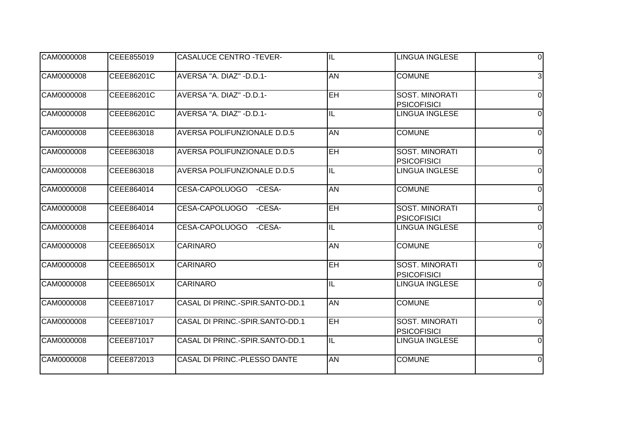| CAM0000008 | CEEE855019 | <b>CASALUCE CENTRO -TEVER-</b>  | IL                      | <b>LINGUA INGLESE</b>                       | $\Omega$       |
|------------|------------|---------------------------------|-------------------------|---------------------------------------------|----------------|
| CAM0000008 | CEEE86201C | AVERSA "A. DIAZ" - D.D.1-       | <b>AN</b>               | <b>COMUNE</b>                               | 3              |
| CAM0000008 | CEEE86201C | AVERSA "A. DIAZ" - D.D.1-       | EH                      | <b>SOST. MINORATI</b><br><b>PSICOFISICI</b> | $\Omega$       |
| CAM0000008 | CEEE86201C | AVERSA "A. DIAZ" - D.D.1-       | IL                      | <b>LINGUA INGLESE</b>                       | $\Omega$       |
| CAM0000008 | CEEE863018 | AVERSA POLIFUNZIONALE D.D.5     | AN                      | <b>COMUNE</b>                               | $\Omega$       |
| CAM0000008 | CEEE863018 | AVERSA POLIFUNZIONALE D.D.5     | <b>EH</b>               | <b>SOST. MINORATI</b><br><b>PSICOFISICI</b> | $\Omega$       |
| CAM0000008 | CEEE863018 | AVERSA POLIFUNZIONALE D.D.5     | IL                      | <b>LINGUA INGLESE</b>                       | $\Omega$       |
| CAM0000008 | CEEE864014 | CESA-CAPOLUOGO<br>-CESA-        | AN                      | <b>COMUNE</b>                               | $\Omega$       |
| CAM0000008 | CEEE864014 | CESA-CAPOLUOGO<br>-CESA-        | EH                      | <b>SOST. MINORATI</b><br><b>PSICOFISICI</b> | $\Omega$       |
| CAM0000008 | CEEE864014 | CESA-CAPOLUOGO<br>-CESA-        | IL                      | <b>LINGUA INGLESE</b>                       | $\Omega$       |
| CAM0000008 | CEEE86501X | <b>CARINARO</b>                 | <b>AN</b>               | <b>COMUNE</b>                               | $\Omega$       |
| CAM0000008 | CEEE86501X | <b>CARINARO</b>                 | <b>EH</b>               | <b>SOST. MINORATI</b><br><b>PSICOFISICI</b> | $\Omega$       |
| CAM0000008 | CEEE86501X | <b>CARINARO</b>                 | $\overline{\mathsf{I}}$ | <b>LINGUA INGLESE</b>                       | $\mathbf 0$    |
| CAM0000008 | CEEE871017 | CASAL DI PRINC.-SPIR.SANTO-DD.1 | <b>AN</b>               | <b>COMUNE</b>                               | $\Omega$       |
| CAM0000008 | CEEE871017 | CASAL DI PRINC.-SPIR.SANTO-DD.1 | <b>EH</b>               | <b>SOST. MINORATI</b><br><b>PSICOFISICI</b> | 0              |
| CAM0000008 | CEEE871017 | CASAL DI PRINC.-SPIR.SANTO-DD.1 | IL                      | <b>LINGUA INGLESE</b>                       | $\Omega$       |
| CAM0000008 | CEEE872013 | CASAL DI PRINC.-PLESSO DANTE    | <b>AN</b>               | <b>COMUNE</b>                               | $\overline{0}$ |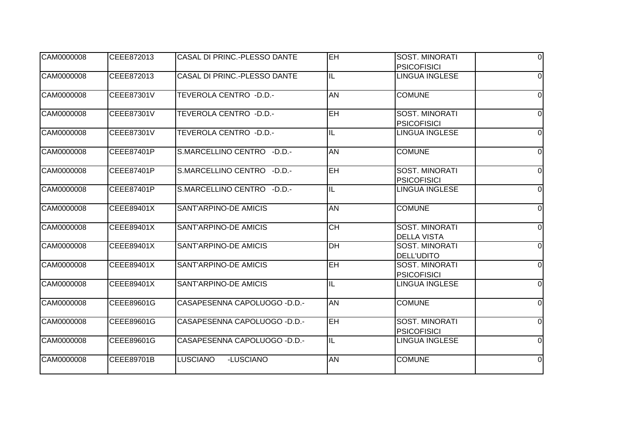| CAM0000008 | CEEE872013 | CASAL DI PRINC.-PLESSO DANTE  | $\overline{H}$          | <b>SOST. MINORATI</b>                       | $\Omega$       |
|------------|------------|-------------------------------|-------------------------|---------------------------------------------|----------------|
|            |            |                               |                         | <b>PSICOFISICI</b>                          |                |
| CAM0000008 | CEEE872013 | CASAL DI PRINC.-PLESSO DANTE  | IL                      | <b>LINGUA INGLESE</b>                       | $\Omega$       |
| CAM0000008 | CEEE87301V | TEVEROLA CENTRO - D.D.-       | AN                      | <b>COMUNE</b>                               | $\Omega$       |
| CAM0000008 | CEEE87301V | TEVEROLA CENTRO -D.D.-        | <b>EH</b>               | <b>SOST. MINORATI</b><br><b>PSICOFISICI</b> | $\Omega$       |
| CAM0000008 | CEEE87301V | TEVEROLA CENTRO - D.D.-       | $\overline{\mathbb{L}}$ | LINGUA INGLESE                              | $\Omega$       |
| CAM0000008 | CEEE87401P | S.MARCELLINO CENTRO - D.D.-   | <b>AN</b>               | <b>COMUNE</b>                               | $\Omega$       |
| CAM0000008 | CEEE87401P | S.MARCELLINO CENTRO - D.D.-   | EH                      | <b>SOST. MINORATI</b><br><b>PSICOFISICI</b> | $\Omega$       |
| CAM0000008 | CEEE87401P | S.MARCELLINO CENTRO -D.D.-    | IL                      | <b>LINGUA INGLESE</b>                       | $\Omega$       |
| CAM0000008 | CEEE89401X | SANT'ARPINO-DE AMICIS         | <b>AN</b>               | <b>COMUNE</b>                               | 0              |
| CAM0000008 | CEEE89401X | SANT'ARPINO-DE AMICIS         | <b>CH</b>               | SOST. MINORATI<br><b>DELLA VISTA</b>        | $\Omega$       |
| CAM0000008 | CEEE89401X | SANT'ARPINO-DE AMICIS         | $\overline{DH}$         | <b>SOST. MINORATI</b><br><b>DELL'UDITO</b>  | 0              |
| CAM0000008 | CEEE89401X | SANT'ARPINO-DE AMICIS         | <b>EH</b>               | SOST. MINORATI<br><b>PSICOFISICI</b>        | $\Omega$       |
| CAM0000008 | CEEE89401X | SANT'ARPINO-DE AMICIS         | $\overline{\mathsf{I}}$ | <b>LINGUA INGLESE</b>                       | $\mathbf 0$    |
| CAM0000008 | CEEE89601G | CASAPESENNA CAPOLUOGO - D.D.- | <b>AN</b>               | <b>COMUNE</b>                               | $\Omega$       |
| CAM0000008 | CEEE89601G | CASAPESENNA CAPOLUOGO - D.D.- | <b>EH</b>               | <b>SOST. MINORATI</b><br><b>PSICOFISICI</b> | $\Omega$       |
| CAM0000008 | CEEE89601G | CASAPESENNA CAPOLUOGO - D.D.- | IL                      | <b>LINGUA INGLESE</b>                       | $\Omega$       |
| CAM0000008 | CEEE89701B | <b>LUSCIANO</b><br>-LUSCIANO  | <b>AN</b>               | <b>COMUNE</b>                               | $\overline{0}$ |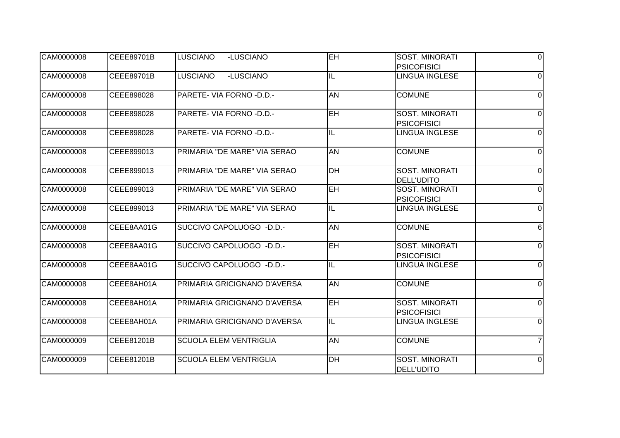| CAM0000008 | CEEE89701B | <b>LUSCIANO</b><br>-LUSCIANO    | $E$ H                    | <b>SOST. MINORATI</b>                       | $\Omega$       |
|------------|------------|---------------------------------|--------------------------|---------------------------------------------|----------------|
|            |            |                                 |                          | <b>PSICOFISICI</b>                          |                |
| CAM0000008 | CEEE89701B | <b>LUSCIANO</b><br>-LUSCIANO    | IL                       | <b>LINGUA INGLESE</b>                       | $\Omega$       |
| CAM0000008 | CEEE898028 | PARETE- VIA FORNO -D.D.-        | AN                       | <b>COMUNE</b>                               | $\Omega$       |
| CAM0000008 | CEEE898028 | <b>PARETE- VIA FORNO -D.D.-</b> | <b>EH</b>                | <b>SOST. MINORATI</b><br><b>PSICOFISICI</b> | $\Omega$       |
| CAM0000008 | CEEE898028 | PARETE- VIA FORNO - D.D.-       | $\overline{\mathsf{IL}}$ | <b>LINGUA INGLESE</b>                       | $\Omega$       |
| CAM0000008 | CEEE899013 | PRIMARIA "DE MARE" VIA SERAO    | <b>AN</b>                | <b>COMUNE</b>                               | $\Omega$       |
| CAM0000008 | CEEE899013 | PRIMARIA "DE MARE" VIA SERAO    | D <sub>H</sub>           | <b>SOST. MINORATI</b><br><b>DELL'UDITO</b>  | $\Omega$       |
| CAM0000008 | CEEE899013 | PRIMARIA "DE MARE" VIA SERAO    | $E$ H                    | <b>SOST. MINORATI</b><br><b>PSICOFISICI</b> | $\Omega$       |
| CAM0000008 | CEEE899013 | PRIMARIA "DE MARE" VIA SERAO    | IL                       | <b>LINGUA INGLESE</b>                       | $\Omega$       |
| CAM0000008 | CEEE8AA01G | SUCCIVO CAPOLUOGO - D.D.-       | <b>AN</b>                | <b>COMUNE</b>                               | 6              |
| CAM0000008 | CEEE8AA01G | SUCCIVO CAPOLUOGO - D.D.-       | $E$ H                    | <b>SOST. MINORATI</b><br><b>PSICOFISICI</b> | $\Omega$       |
| CAM0000008 | CEEE8AA01G | SUCCIVO CAPOLUOGO - D.D.-       | IL                       | <b>LINGUA INGLESE</b>                       | $\Omega$       |
| CAM0000008 | CEEE8AH01A | PRIMARIA GRICIGNANO D'AVERSA    | <b>AN</b>                | <b>COMUNE</b>                               | $\mathbf 0$    |
| CAM0000008 | CEEE8AH01A | PRIMARIA GRICIGNANO D'AVERSA    | <b>EH</b>                | <b>SOST. MINORATI</b><br><b>PSICOFISICI</b> | $\Omega$       |
| CAM0000008 | CEEE8AH01A | PRIMARIA GRICIGNANO D'AVERSA    | $\overline{\mathsf{IL}}$ | <b>LINGUA INGLESE</b>                       | $\Omega$       |
| CAM0000009 | CEEE81201B | <b>SCUOLA ELEM VENTRIGLIA</b>   | <b>AN</b>                | <b>COMUNE</b>                               |                |
| CAM0000009 | CEEE81201B | <b>SCUOLA ELEM VENTRIGLIA</b>   | $\overline{DH}$          | <b>SOST. MINORATI</b><br><b>DELL'UDITO</b>  | $\overline{0}$ |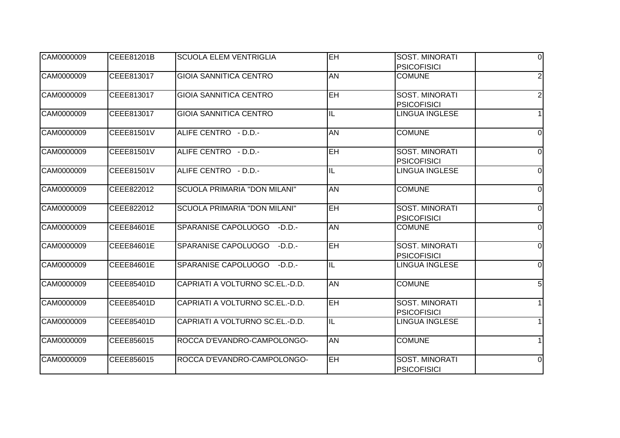| CAM0000009 | CEEE81201B | <b>SCUOLA ELEM VENTRIGLIA</b>       | EH                       | <b>SOST. MINORATI</b>                       | $\Omega$       |
|------------|------------|-------------------------------------|--------------------------|---------------------------------------------|----------------|
|            |            |                                     |                          | <b>PSICOFISICI</b>                          |                |
| CAM0000009 | CEEE813017 | <b>GIOIA SANNITICA CENTRO</b>       | <b>AN</b>                | <b>COMUNE</b>                               | $\overline{2}$ |
| CAM0000009 | CEEE813017 | <b>GIOIA SANNITICA CENTRO</b>       | $\overline{EH}$          | <b>SOST. MINORATI</b>                       | $\overline{2}$ |
| CAM0000009 | CEEE813017 | <b>GIOIA SANNITICA CENTRO</b>       | IL                       | <b>PSICOFISICI</b><br><b>LINGUA INGLESE</b> |                |
|            |            |                                     |                          |                                             |                |
| CAM0000009 | CEEE81501V | ALIFE CENTRO - D.D.-                | <b>AN</b>                | <b>COMUNE</b>                               | $\Omega$       |
| CAM0000009 | CEEE81501V | ALIFE CENTRO - D.D.-                | <b>EH</b>                | <b>SOST. MINORATI</b>                       | $\Omega$       |
|            |            |                                     |                          | <b>PSICOFISICI</b>                          |                |
| CAM0000009 | CEEE81501V | ALIFE CENTRO - D.D.-                | IL                       | <b>LINGUA INGLESE</b>                       | $\Omega$       |
| CAM0000009 | CEEE822012 | <b>SCUOLA PRIMARIA "DON MILANI"</b> | <b>AN</b>                | <b>COMUNE</b>                               | $\Omega$       |
| CAM0000009 | CEEE822012 | SCUOLA PRIMARIA "DON MILANI"        | EH                       | <b>SOST. MINORATI</b>                       | $\Omega$       |
|            |            |                                     |                          | <b>PSICOFISICI</b>                          |                |
| CAM0000009 | CEEE84601E | SPARANISE CAPOLUOGO<br>$-D.D.$      | <b>AN</b>                | <b>COMUNE</b>                               | $\Omega$       |
| CAM0000009 | CEEE84601E | SPARANISE CAPOLUOGO<br>$-D.D.$      | EH                       | <b>SOST. MINORATI</b>                       | $\Omega$       |
|            |            |                                     |                          | <b>PSICOFISICI</b>                          |                |
| CAM0000009 | CEEE84601E | SPARANISE CAPOLUOGO<br>$-D.D.$      | IL                       | <b>LINGUA INGLESE</b>                       | $\Omega$       |
| CAM0000009 | CEEE85401D | CAPRIATI A VOLTURNO SC.EL.-D.D.     | <b>AN</b>                | <b>COMUNE</b>                               | 5              |
| CAM0000009 | CEEE85401D | CAPRIATI A VOLTURNO SC.EL.-D.D.     | <b>EH</b>                | <b>SOST. MINORATI</b>                       |                |
|            |            |                                     |                          | <b>PSICOFISICI</b>                          |                |
| CAM0000009 | CEEE85401D | CAPRIATI A VOLTURNO SC.EL.-D.D.     | $\overline{\mathsf{IL}}$ | <b>LINGUA INGLESE</b>                       |                |
| CAM0000009 | CEEE856015 | ROCCA D'EVANDRO-CAMPOLONGO-         | <b>AN</b>                | <b>COMUNE</b>                               |                |
| CAM0000009 | CEEE856015 | ROCCA D'EVANDRO-CAMPOLONGO-         | <b>EH</b>                | <b>SOST. MINORATI</b>                       | $\Omega$       |
|            |            |                                     |                          | <b>PSICOFISICI</b>                          |                |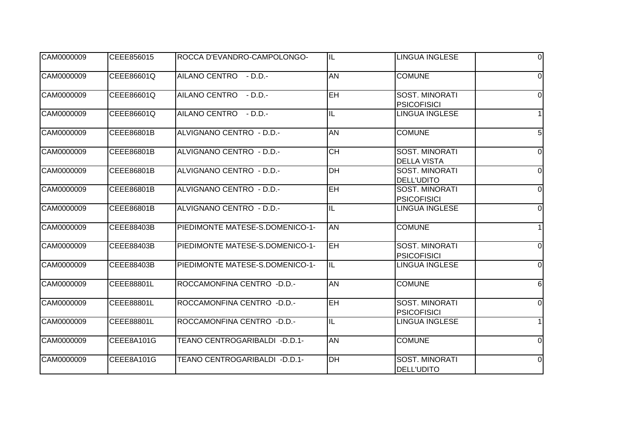| CAM0000009 | CEEE856015 | ROCCA D'EVANDRO-CAMPOLONGO-     | IL                       | LINGUA INGLESE                              | $\Omega$       |
|------------|------------|---------------------------------|--------------------------|---------------------------------------------|----------------|
| CAM0000009 | CEEE86601Q | AILANO CENTRO - D.D.-           | <b>AN</b>                | <b>COMUNE</b>                               | $\Omega$       |
| CAM0000009 | CEEE86601Q | AILANO CENTRO - D.D.-           | EH                       | <b>SOST. MINORATI</b><br><b>PSICOFISICI</b> | $\Omega$       |
| CAM0000009 | CEEE86601Q | AILANO CENTRO - D.D.-           | IL                       | <b>LINGUA INGLESE</b>                       |                |
| CAM0000009 | CEEE86801B | ALVIGNANO CENTRO - D.D.-        | <b>AN</b>                | <b>COMUNE</b>                               | 5              |
| CAM0000009 | CEEE86801B | ALVIGNANO CENTRO - D.D.-        | <b>CH</b>                | <b>SOST. MINORATI</b><br><b>DELLA VISTA</b> | $\Omega$       |
| CAM0000009 | CEEE86801B | ALVIGNANO CENTRO - D.D.-        | $\overline{DH}$          | <b>SOST. MINORATI</b><br><b>DELL'UDITO</b>  | $\Omega$       |
| CAM0000009 | CEEE86801B | ALVIGNANO CENTRO - D.D.-        | $\overline{\mathsf{EH}}$ | SOST. MINORATI<br><b>PSICOFISICI</b>        | $\Omega$       |
| CAM0000009 | CEEE86801B | ALVIGNANO CENTRO - D.D.-        | $\overline{\mathsf{I}}$  | <b>LINGUA INGLESE</b>                       | 0              |
| CAM0000009 | CEEE88403B | PIEDIMONTE MATESE-S.DOMENICO-1- | <b>AN</b>                | <b>COMUNE</b>                               |                |
| CAM0000009 | CEEE88403B | PIEDIMONTE MATESE-S.DOMENICO-1- | $\overline{H}$           | <b>SOST. MINORATI</b><br><b>PSICOFISICI</b> | $\Omega$       |
| CAM0000009 | CEEE88403B | PIEDIMONTE MATESE-S.DOMENICO-1- | IL                       | <b>LINGUA INGLESE</b>                       | $\Omega$       |
| CAM0000009 | CEEE88801L | ROCCAMONFINA CENTRO -D.D.-      | <b>AN</b>                | <b>COMUNE</b>                               | 6              |
| CAM0000009 | CEEE88801L | ROCCAMONFINA CENTRO -D.D.-      | <b>EH</b>                | SOST. MINORATI<br><b>PSICOFISICI</b>        | $\Omega$       |
| CAM0000009 | CEEE88801L | ROCCAMONFINA CENTRO -D.D.-      | $\overline{\mathsf{IL}}$ | <b>LINGUA INGLESE</b>                       |                |
| CAM0000009 | CEEE8A101G | TEANO CENTROGARIBALDI - D.D.1-  | <b>AN</b>                | <b>COMUNE</b>                               | $\Omega$       |
| CAM0000009 | CEEE8A101G | TEANO CENTROGARIBALDI - D.D.1-  | $\overline{DH}$          | <b>SOST. MINORATI</b><br><b>DELL'UDITO</b>  | $\overline{0}$ |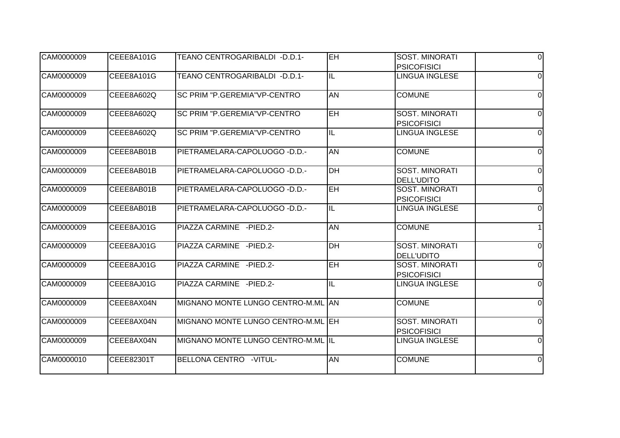| CAM0000009 | CEEE8A101G | TEANO CENTROGARIBALDI - D.D.1-      | EH.                      | <b>SOST. MINORATI</b>                       | $\Omega$       |
|------------|------------|-------------------------------------|--------------------------|---------------------------------------------|----------------|
|            |            |                                     |                          | <b>PSICOFISICI</b>                          |                |
| CAM0000009 | CEEE8A101G | TEANO CENTROGARIBALDI - D.D.1-      | IL                       | <b>LINGUA INGLESE</b>                       | $\Omega$       |
| CAM0000009 | CEEE8A602Q | <b>SC PRIM "P.GEREMIA"VP-CENTRO</b> | AN                       | <b>COMUNE</b>                               | $\Omega$       |
| CAM0000009 | CEEE8A602Q | <b>SC PRIM "P.GEREMIA"VP-CENTRO</b> | <b>EH</b>                | <b>SOST. MINORATI</b><br><b>PSICOFISICI</b> | $\Omega$       |
| CAM0000009 | CEEE8A602Q | SC PRIM "P.GEREMIA"VP-CENTRO        | $\overline{\mathsf{IL}}$ | <b>LINGUA INGLESE</b>                       | $\Omega$       |
| CAM0000009 | CEEE8AB01B | PIETRAMELARA-CAPOLUOGO - D.D.-      | <b>AN</b>                | <b>COMUNE</b>                               | $\Omega$       |
| CAM0000009 | CEEE8AB01B | PIETRAMELARA-CAPOLUOGO - D.D.-      | $\overline{DH}$          | <b>SOST. MINORATI</b><br><b>DELL'UDITO</b>  | $\Omega$       |
| CAM0000009 | CEEE8AB01B | PIETRAMELARA-CAPOLUOGO - D.D.-      | <b>EH</b>                | <b>SOST. MINORATI</b><br><b>PSICOFISICI</b> | $\Omega$       |
| CAM0000009 | CEEE8AB01B | PIETRAMELARA-CAPOLUOGO - D.D.-      | IL                       | <b>LINGUA INGLESE</b>                       | 0              |
| CAM0000009 | CEEE8AJ01G | PIAZZA CARMINE - PIED.2-            | <b>AN</b>                | <b>COMUNE</b>                               |                |
| CAM0000009 | CEEE8AJ01G | PIAZZA CARMINE - PIED.2-            | $\overline{DH}$          | <b>SOST. MINORATI</b><br><b>DELL'UDITO</b>  | $\Omega$       |
| CAM0000009 | CEEE8AJ01G | PIAZZA CARMINE - PIED.2-            | <b>EH</b>                | SOST. MINORATI<br><b>PSICOFISICI</b>        | $\Omega$       |
| CAM0000009 | CEEE8AJ01G | PIAZZA CARMINE - PIED.2-            | $\overline{\mathsf{I}}$  | <b>LINGUA INGLESE</b>                       | $\mathbf 0$    |
| CAM0000009 | CEEE8AX04N | MIGNANO MONTE LUNGO CENTRO-M.ML AN  |                          | <b>COMUNE</b>                               | $\Omega$       |
| CAM0000009 | CEEE8AX04N | MIGNANO MONTE LUNGO CENTRO-M.ML EH  |                          | <b>SOST. MINORATI</b><br><b>PSICOFISICI</b> | 0              |
| CAM0000009 | CEEE8AX04N | MIGNANO MONTE LUNGO CENTRO-M.ML IL  |                          | <b>LINGUA INGLESE</b>                       | $\Omega$       |
| CAM0000010 | CEEE82301T | BELLONA CENTRO -VITUL-              | <b>AN</b>                | <b>COMUNE</b>                               | $\overline{0}$ |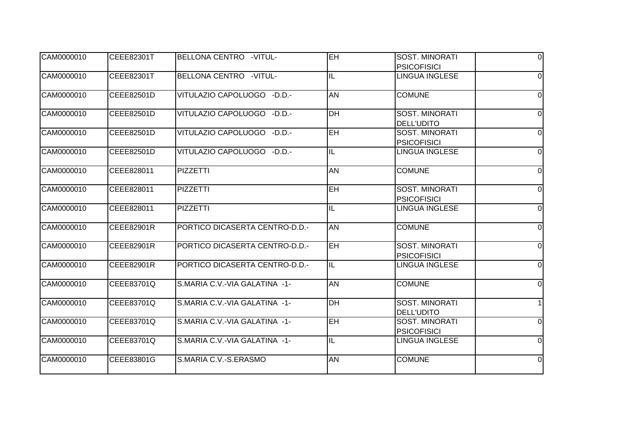| CAM0000010 | CEEE82301T | BELLONA CENTRO -VITUL-         | EH             | <b>SOST. MINORATI</b>                       | $\Omega$       |
|------------|------------|--------------------------------|----------------|---------------------------------------------|----------------|
|            |            |                                |                | <b>PSICOFISICI</b>                          |                |
| CAM0000010 | CEEE82301T | BELLONA CENTRO -VITUL-         | IL             | LINGUA INGLESE                              | $\Omega$       |
| CAM0000010 | CEEE82501D | VITULAZIO CAPOLUOGO - D.D.-    | AN             | <b>COMUNE</b>                               | $\Omega$       |
| CAM0000010 | CEEE82501D | VITULAZIO CAPOLUOGO - D.D.-    | DH             | <b>SOST. MINORATI</b><br><b>DELL'UDITO</b>  | $\Omega$       |
| CAM0000010 | CEEE82501D | VITULAZIO CAPOLUOGO - D.D.-    | <b>EH</b>      | <b>SOST. MINORATI</b><br><b>PSICOFISICI</b> | $\Omega$       |
| CAM0000010 | CEEE82501D | VITULAZIO CAPOLUOGO - D.D.-    | IL             | <b>LINGUA INGLESE</b>                       | $\Omega$       |
| CAM0000010 | CEEE828011 | <b>PIZZETTI</b>                | AN             | <b>COMUNE</b>                               | $\Omega$       |
| CAM0000010 | CEEE828011 | PIZZETTI                       | <b>EH</b>      | <b>SOST. MINORATI</b><br><b>PSICOFISICI</b> | $\Omega$       |
| CAM0000010 | CEEE828011 | <b>PIZZETTI</b>                | IL             | LINGUA INGLESE                              | $\Omega$       |
| CAM0000010 | CEEE82901R | PORTICO DICASERTA CENTRO-D.D.- | <b>AN</b>      | <b>COMUNE</b>                               | $\Omega$       |
| CAM0000010 | CEEE82901R | PORTICO DICASERTA CENTRO-D.D.- | $\overline{H}$ | <b>SOST. MINORATI</b><br><b>PSICOFISICI</b> | $\Omega$       |
| CAM0000010 | CEEE82901R | PORTICO DICASERTA CENTRO-D.D.- | IL             | <b>LINGUA INGLESE</b>                       | $\overline{0}$ |
| CAM0000010 | CEEE83701Q | S.MARIA C.V.-VIA GALATINA -1-  | <b>AN</b>      | <b>COMUNE</b>                               | $\Omega$       |
| CAM0000010 | CEEE83701Q | S.MARIA C.V.-VIA GALATINA -1-  | <b>DH</b>      | <b>SOST. MINORATI</b><br><b>DELL'UDITO</b>  |                |
| CAM0000010 | CEEE83701Q | S.MARIA C.V.-VIA GALATINA -1-  | <b>EH</b>      | <b>SOST. MINORATI</b><br><b>PSICOFISICI</b> | $\Omega$       |
| CAM0000010 | CEEE83701Q | S.MARIA C.V.-VIA GALATINA -1-  | IL             | <b>LINGUA INGLESE</b>                       | $\Omega$       |
| CAM0000010 | CEEE83801G | S.MARIA C.V.-S.ERASMO          | <b>AN</b>      | <b>COMUNE</b>                               | $\overline{0}$ |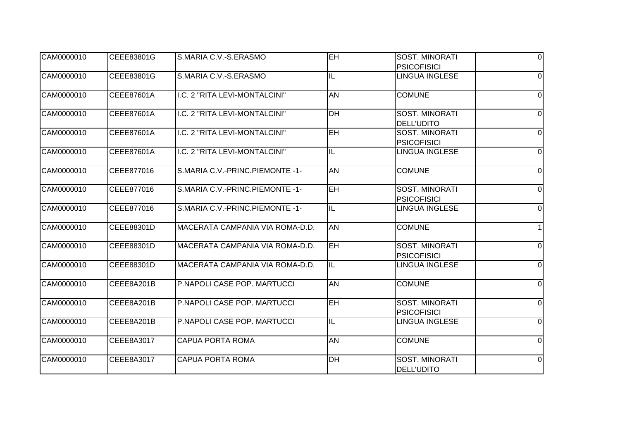| CAM0000010 | CEEE83801G | S.MARIA C.V.-S.ERASMO           | EH                       | <b>SOST. MINORATI</b>                       | $\Omega$       |
|------------|------------|---------------------------------|--------------------------|---------------------------------------------|----------------|
|            |            |                                 |                          | <b>PSICOFISICI</b>                          |                |
| CAM0000010 | CEEE83801G | S.MARIA C.V.-S.ERASMO           | IL                       | <b>LINGUA INGLESE</b>                       | $\Omega$       |
| CAM0000010 | CEEE87601A | I.C. 2 "RITA LEVI-MONTALCINI"   | $\overline{AN}$          | <b>COMUNE</b>                               | $\Omega$       |
| CAM0000010 | CEEE87601A | I.C. 2 "RITA LEVI-MONTALCINI"   | DH                       | <b>SOST. MINORATI</b><br><b>DELL'UDITO</b>  | 0              |
| CAM0000010 | CEEE87601A | I.C. 2 "RITA LEVI-MONTALCINI"   | $\overline{EH}$          | <b>SOST. MINORATI</b><br><b>PSICOFISICI</b> | $\Omega$       |
| CAM0000010 | CEEE87601A | I.C. 2 "RITA LEVI-MONTALCINI"   | IL                       | <b>LINGUA INGLESE</b>                       | $\Omega$       |
| CAM0000010 | CEEE877016 | S.MARIA C.V.-PRINC.PIEMONTE -1- | AN                       | <b>COMUNE</b>                               | $\overline{0}$ |
| CAM0000010 | CEEE877016 | S.MARIA C.V.-PRINC.PIEMONTE -1- | EH                       | SOST. MINORATI<br><b>PSICOFISICI</b>        | $\overline{0}$ |
| CAM0000010 | CEEE877016 | S.MARIA C.V.-PRINC.PIEMONTE -1- | $\overline{\mathsf{IL}}$ | LINGUA INGLESE                              | $\Omega$       |
| CAM0000010 | CEEE88301D | MACERATA CAMPANIA VIA ROMA-D.D. | <b>AN</b>                | <b>COMUNE</b>                               |                |
| CAM0000010 | CEEE88301D | MACERATA CAMPANIA VIA ROMA-D.D. | <b>EH</b>                | <b>SOST. MINORATI</b><br><b>PSICOFISICI</b> | $\Omega$       |
| CAM0000010 | CEEE88301D | MACERATA CAMPANIA VIA ROMA-D.D. | IL                       | <b>LINGUA INGLESE</b>                       | $\Omega$       |
| CAM0000010 | CEEE8A201B | P.NAPOLI CASE POP. MARTUCCI     | AN                       | <b>COMUNE</b>                               | $\Omega$       |
| CAM0000010 | CEEE8A201B | P.NAPOLI CASE POP. MARTUCCI     | <b>EH</b>                | <b>SOST. MINORATI</b><br><b>PSICOFISICI</b> | $\Omega$       |
| CAM0000010 | CEEE8A201B | P.NAPOLI CASE POP. MARTUCCI     | IL                       | <b>LINGUA INGLESE</b>                       | $\Omega$       |
| CAM0000010 | CEEE8A3017 | <b>CAPUA PORTA ROMA</b>         | AN                       | <b>COMUNE</b>                               | $\Omega$       |
| CAM0000010 | CEEE8A3017 | <b>CAPUA PORTA ROMA</b>         | $\overline{DH}$          | <b>SOST. MINORATI</b><br><b>DELL'UDITO</b>  | $\Omega$       |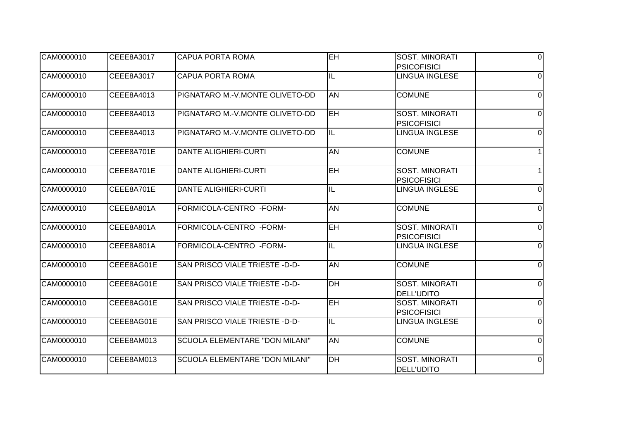| CAM0000010 | CEEE8A3017 | <b>CAPUA PORTA ROMA</b>         | EH                       | <b>SOST. MINORATI</b>                       | $\Omega$       |
|------------|------------|---------------------------------|--------------------------|---------------------------------------------|----------------|
|            |            |                                 |                          | <b>PSICOFISICI</b>                          |                |
| CAM0000010 | CEEE8A3017 | <b>CAPUA PORTA ROMA</b>         | IL                       | <b>LINGUA INGLESE</b>                       | $\Omega$       |
| CAM0000010 | CEEE8A4013 | PIGNATARO M.-V.MONTE OLIVETO-DD | <b>AN</b>                | <b>COMUNE</b>                               | 0              |
| CAM0000010 | CEEE8A4013 | PIGNATARO M.-V.MONTE OLIVETO-DD | <b>EH</b>                | <b>SOST. MINORATI</b><br><b>PSICOFISICI</b> | $\Omega$       |
| CAM0000010 | CEEE8A4013 | PIGNATARO M.-V.MONTE OLIVETO-DD | $\overline{\mathsf{IL}}$ | <b>LINGUA INGLESE</b>                       | $\Omega$       |
| CAM0000010 | CEEE8A701E | <b>DANTE ALIGHIERI-CURTI</b>    | AN                       | <b>COMUNE</b>                               |                |
| CAM0000010 | CEEE8A701E | <b>DANTE ALIGHIERI-CURTI</b>    | $E$ H                    | <b>SOST. MINORATI</b><br><b>PSICOFISICI</b> |                |
| CAM0000010 | CEEE8A701E | <b>DANTE ALIGHIERI-CURTI</b>    | IL                       | <b>LINGUA INGLESE</b>                       | 0              |
| CAM0000010 | CEEE8A801A | FORMICOLA-CENTRO -FORM-         | <b>AN</b>                | <b>COMUNE</b>                               | 0              |
| CAM0000010 | CEEE8A801A | FORMICOLA-CENTRO -FORM-         | $E$ H                    | SOST. MINORATI<br><b>PSICOFISICI</b>        | $\Omega$       |
| CAM0000010 | CEEE8A801A | FORMICOLA-CENTRO -FORM-         | $\overline{\mathsf{L}}$  | <b>LINGUA INGLESE</b>                       | $\Omega$       |
| CAM0000010 | CEEE8AG01E | SAN PRISCO VIALE TRIESTE -D-D-  | <b>AN</b>                | <b>COMUNE</b>                               | $\overline{0}$ |
| CAM0000010 | CEEE8AG01E | SAN PRISCO VIALE TRIESTE -D-D-  | DH                       | <b>SOST. MINORATI</b><br><b>DELL'UDITO</b>  | $\Omega$       |
| CAM0000010 | CEEE8AG01E | SAN PRISCO VIALE TRIESTE -D-D-  | <b>EH</b>                | <b>SOST. MINORATI</b><br><b>PSICOFISICI</b> | $\Omega$       |
| CAM0000010 | CEEE8AG01E | SAN PRISCO VIALE TRIESTE -D-D-  | $\overline{\mathsf{L}}$  | <b>LINGUA INGLESE</b>                       | $\Omega$       |
| CAM0000010 | CEEE8AM013 | SCUOLA ELEMENTARE "DON MILANI"  | <b>AN</b>                | <b>COMUNE</b>                               | $\Omega$       |
| CAM0000010 | CEEE8AM013 | SCUOLA ELEMENTARE "DON MILANI"  | $\overline{DH}$          | <b>SOST. MINORATI</b><br><b>DELL'UDITO</b>  | $\overline{0}$ |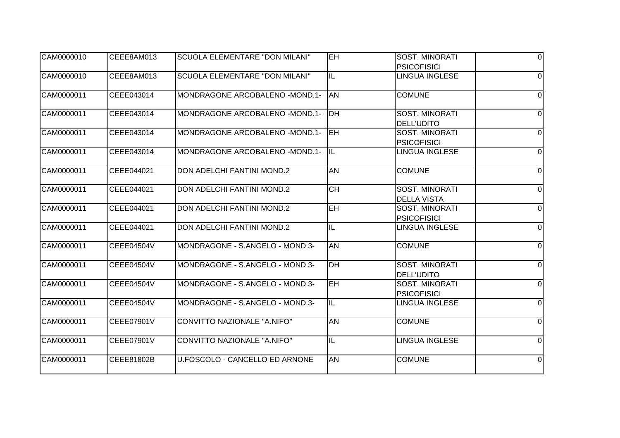| CAM0000010 | CEEE8AM013 | SCUOLA ELEMENTARE "DON MILANI"     | EH.             | <b>SOST. MINORATI</b>                       | $\Omega$       |
|------------|------------|------------------------------------|-----------------|---------------------------------------------|----------------|
|            |            |                                    |                 | <b>PSICOFISICI</b>                          |                |
| CAM0000010 | CEEE8AM013 | SCUOLA ELEMENTARE "DON MILANI"     | IL              | <b>LINGUA INGLESE</b>                       | $\Omega$       |
| CAM0000011 | CEEE043014 | MONDRAGONE ARCOBALENO -MOND.1-     | <b>AN</b>       | <b>COMUNE</b>                               | $\Omega$       |
| CAM0000011 | CEEE043014 | MONDRAGONE ARCOBALENO - MOND.1-    | <b>IDH</b>      | <b>SOST. MINORATI</b><br><b>DELL'UDITO</b>  | $\Omega$       |
| CAM0000011 | CEEE043014 | MONDRAGONE ARCOBALENO -MOND.1-     | <b>IEH</b>      | <b>SOST. MINORATI</b><br><b>PSICOFISICI</b> | $\Omega$       |
| CAM0000011 | CEEE043014 | MONDRAGONE ARCOBALENO - MOND.1-    | ÌЩ              | <b>LINGUA INGLESE</b>                       | $\Omega$       |
| CAM0000011 | CEEE044021 | <b>DON ADELCHI FANTINI MOND.2</b>  | <b>AN</b>       | <b>COMUNE</b>                               | $\Omega$       |
| CAM0000011 | CEEE044021 | <b>DON ADELCHI FANTINI MOND.2</b>  | $\overline{CH}$ | <b>SOST. MINORATI</b><br><b>DELLA VISTA</b> | $\Omega$       |
| CAM0000011 | CEEE044021 | <b>DON ADELCHI FANTINI MOND.2</b>  | EH              | <b>SOST. MINORATI</b><br><b>PSICOFISICI</b> | $\Omega$       |
| CAM0000011 | CEEE044021 | DON ADELCHI FANTINI MOND.2         | IL              | <b>LINGUA INGLESE</b>                       | $\Omega$       |
| CAM0000011 | CEEE04504V | MONDRAGONE - S.ANGELO - MOND.3-    | <b>AN</b>       | <b>COMUNE</b>                               | $\Omega$       |
| CAM0000011 | CEEE04504V | MONDRAGONE - S.ANGELO - MOND.3-    | D <sub>H</sub>  | <b>SOST. MINORATI</b><br><b>DELL'UDITO</b>  | $\Omega$       |
| CAM0000011 | CEEE04504V | MONDRAGONE - S.ANGELO - MOND.3-    | EH              | <b>SOST. MINORATI</b><br><b>PSICOFISICI</b> | $\mathbf 0$    |
| CAM0000011 | CEEE04504V | MONDRAGONE - S.ANGELO - MOND.3-    | IL              | <b>LINGUA INGLESE</b>                       | $\Omega$       |
| CAM0000011 | CEEE07901V | <b>CONVITTO NAZIONALE "A.NIFO"</b> | <b>AN</b>       | <b>COMUNE</b>                               | 0              |
| CAM0000011 | CEEE07901V | CONVITTO NAZIONALE "A.NIFO"        | IL              | <b>LINGUA INGLESE</b>                       | $\Omega$       |
| CAM0000011 | CEEE81802B | U.FOSCOLO - CANCELLO ED ARNONE     | <b>AN</b>       | <b>COMUNE</b>                               | $\overline{0}$ |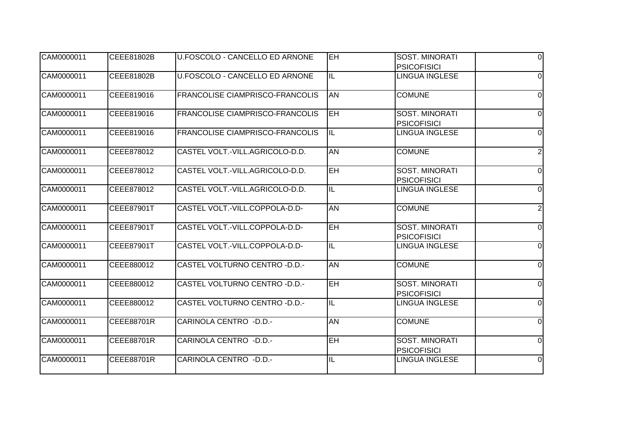| CAM0000011 | CEEE81802B | U.FOSCOLO - CANCELLO ED ARNONE         | EH.                      | <b>SOST. MINORATI</b>                       | $\Omega$       |
|------------|------------|----------------------------------------|--------------------------|---------------------------------------------|----------------|
|            |            |                                        |                          | <b>PSICOFISICI</b>                          |                |
| CAM0000011 | CEEE81802B | U.FOSCOLO - CANCELLO ED ARNONE         | IL                       | <b>LINGUA INGLESE</b>                       | $\Omega$       |
| CAM0000011 | CEEE819016 | <b>FRANCOLISE CIAMPRISCO-FRANCOLIS</b> | AN                       | <b>COMUNE</b>                               | $\Omega$       |
| CAM0000011 | CEEE819016 | FRANCOLISE CIAMPRISCO-FRANCOLIS        | leh                      | <b>SOST. MINORATI</b><br><b>PSICOFISICI</b> | $\Omega$       |
| CAM0000011 | CEEE819016 | FRANCOLISE CIAMPRISCO-FRANCOLIS        | $\overline{\mathsf{IL}}$ | LINGUA INGLESE                              | $\Omega$       |
| CAM0000011 | CEEE878012 | CASTEL VOLT.-VILL.AGRICOLO-D.D.        | <b>AN</b>                | <b>COMUNE</b>                               | $\overline{2}$ |
| CAM0000011 | CEEE878012 | CASTEL VOLT.-VILL.AGRICOLO-D.D.        | EH                       | <b>SOST. MINORATI</b><br><b>PSICOFISICI</b> | $\Omega$       |
| CAM0000011 | CEEE878012 | CASTEL VOLT.-VILL.AGRICOLO-D.D.        | IL                       | <b>LINGUA INGLESE</b>                       | $\Omega$       |
| CAM0000011 | CEEE87901T | CASTEL VOLT.-VILL.COPPOLA-D.D-         | <b>AN</b>                | <b>COMUNE</b>                               | $\overline{2}$ |
| CAM0000011 | CEEE87901T | CASTEL VOLT.-VILL.COPPOLA-D.D-         | <b>EH</b>                | SOST. MINORATI<br><b>PSICOFISICI</b>        | $\Omega$       |
| CAM0000011 | CEEE87901T | CASTEL VOLT.-VILL.COPPOLA-D.D-         | $\overline{\mathsf{IL}}$ | <b>LINGUA INGLESE</b>                       | $\Omega$       |
| CAM0000011 | CEEE880012 | CASTEL VOLTURNO CENTRO - D.D.-         | <b>AN</b>                | <b>COMUNE</b>                               | $\Omega$       |
| CAM0000011 | CEEE880012 | CASTEL VOLTURNO CENTRO - D.D.-         | <b>EH</b>                | <b>SOST. MINORATI</b><br><b>PSICOFISICI</b> | $\Omega$       |
| CAM0000011 | CEEE880012 | CASTEL VOLTURNO CENTRO - D.D.-         | IL                       | <b>LINGUA INGLESE</b>                       | $\Omega$       |
| CAM0000011 | CEEE88701R | CARINOLA CENTRO - D.D.-                | <b>AN</b>                | <b>COMUNE</b>                               | $\Omega$       |
| CAM0000011 | CEEE88701R | CARINOLA CENTRO - D.D.-                | <b>EH</b>                | <b>SOST. MINORATI</b><br><b>PSICOFISICI</b> | $\Omega$       |
| CAM0000011 | CEEE88701R | CARINOLA CENTRO - D.D.-                | IL                       | LINGUA INGLESE                              | $\overline{0}$ |